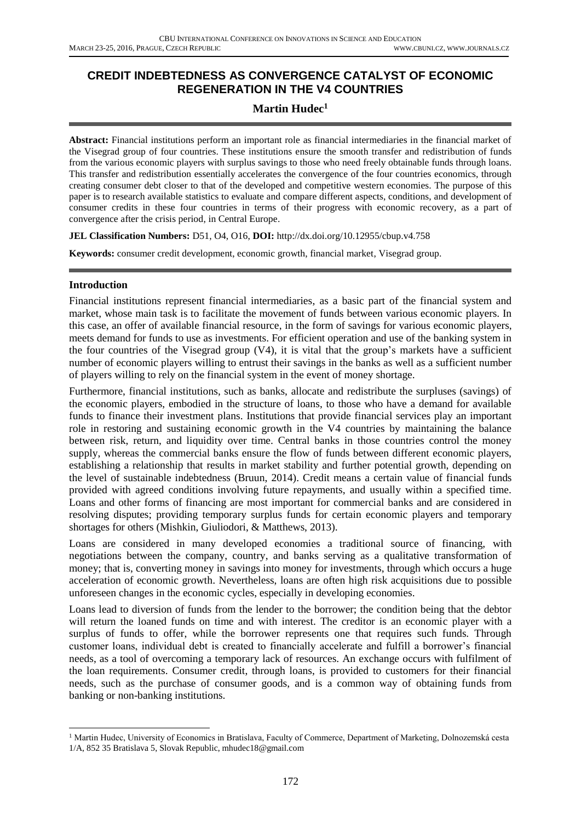# **CREDIT INDEBTEDNESS AS CONVERGENCE CATALYST OF ECONOMIC REGENERATION IN THE V4 COUNTRIES**

# **Martin Hudec<sup>1</sup>**

**Abstract:** Financial institutions perform an important role as financial intermediaries in the financial market of the Visegrad group of four countries. These institutions ensure the smooth transfer and redistribution of funds from the various economic players with surplus savings to those who need freely obtainable funds through loans. This transfer and redistribution essentially accelerates the convergence of the four countries economics, through creating consumer debt closer to that of the developed and competitive western economies. The purpose of this paper is to research available statistics to evaluate and compare different aspects, conditions, and development of consumer credits in these four countries in terms of their progress with economic recovery, as a part of convergence after the crisis period, in Central Europe.

**JEL Classification Numbers:** D51, O4, O16, **DOI:** http://dx.doi.org/10.12955/cbup.v4.758

**Keywords:** consumer credit development, economic growth, financial market, Visegrad group.

### **Introduction**

1

Financial institutions represent financial intermediaries, as a basic part of the financial system and market, whose main task is to facilitate the movement of funds between various economic players. In this case, an offer of available financial resource, in the form of savings for various economic players, meets demand for funds to use as investments. For efficient operation and use of the banking system in the four countries of the Visegrad group (V4), it is vital that the group's markets have a sufficient number of economic players willing to entrust their savings in the banks as well as a sufficient number of players willing to rely on the financial system in the event of money shortage.

Furthermore, financial institutions, such as banks, allocate and redistribute the surpluses (savings) of the economic players, embodied in the structure of loans, to those who have a demand for available funds to finance their investment plans. Institutions that provide financial services play an important role in restoring and sustaining economic growth in the V4 countries by maintaining the balance between risk, return, and liquidity over time. Central banks in those countries control the money supply, whereas the commercial banks ensure the flow of funds between different economic players, establishing a relationship that results in market stability and further potential growth, depending on the level of sustainable indebtedness (Bruun, 2014). Credit means a certain value of financial funds provided with agreed conditions involving future repayments, and usually within a specified time. Loans and other forms of financing are most important for commercial banks and are considered in resolving disputes; providing temporary surplus funds for certain economic players and temporary shortages for others (Mishkin, Giuliodori, & Matthews, 2013).

Loans are considered in many developed economies a traditional source of financing, with negotiations between the company, country, and banks serving as a qualitative transformation of money; that is, converting money in savings into money for investments, through which occurs a huge acceleration of economic growth. Nevertheless, loans are often high risk acquisitions due to possible unforeseen changes in the economic cycles, especially in developing economies.

Loans lead to diversion of funds from the lender to the borrower; the condition being that the debtor will return the loaned funds on time and with interest. The creditor is an economic player with a surplus of funds to offer, while the borrower represents one that requires such funds. Through customer loans, individual debt is created to financially accelerate and fulfill a borrower's financial needs, as a tool of overcoming a temporary lack of resources. An exchange occurs with fulfilment of the loan requirements. Consumer credit, through loans, is provided to customers for their financial needs, such as the purchase of consumer goods, and is a common way of obtaining funds from banking or non-banking institutions.

<sup>&</sup>lt;sup>1</sup> Martin Hudec, University of Economics in Bratislava, Faculty of Commerce, Department of Marketing, Dolnozemská cesta 1/A, 852 35 Bratislava 5, Slovak Republic, mhudec18@gmail.com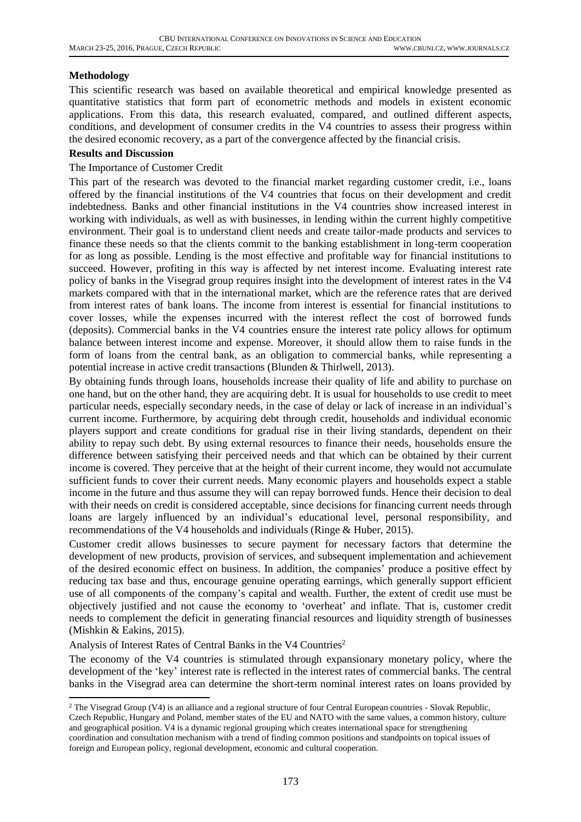## **Methodology**

This scientific research was based on available theoretical and empirical knowledge presented as quantitative statistics that form part of econometric methods and models in existent economic applications. From this data, this research evaluated, compared, and outlined different aspects, conditions, and development of consumer credits in the V4 countries to assess their progress within the desired economic recovery, as a part of the convergence affected by the financial crisis.

### **Results and Discussion**

### The Importance of Customer Credit

This part of the research was devoted to the financial market regarding customer credit, i.e., loans offered by the financial institutions of the V4 countries that focus on their development and credit indebtedness. Banks and other financial institutions in the V4 countries show increased interest in working with individuals, as well as with businesses, in lending within the current highly competitive environment. Their goal is to understand client needs and create tailor-made products and services to finance these needs so that the clients commit to the banking establishment in long-term cooperation for as long as possible. Lending is the most effective and profitable way for financial institutions to succeed. However, profiting in this way is affected by net interest income. Evaluating interest rate policy of banks in the Visegrad group requires insight into the development of interest rates in the V4 markets compared with that in the international market, which are the reference rates that are derived from interest rates of bank loans. The income from interest is essential for financial institutions to cover losses, while the expenses incurred with the interest reflect the cost of borrowed funds (deposits). Commercial banks in the V4 countries ensure the interest rate policy allows for optimum balance between interest income and expense. Moreover, it should allow them to raise funds in the form of loans from the central bank, as an obligation to commercial banks, while representing a potential increase in active credit transactions (Blunden & Thirlwell, 2013).

By obtaining funds through loans, households increase their quality of life and ability to purchase on one hand, but on the other hand, they are acquiring debt. It is usual for households to use credit to meet particular needs, especially secondary needs, in the case of delay or lack of increase in an individual's current income. Furthermore, by acquiring debt through credit, households and individual economic players support and create conditions for gradual rise in their living standards, dependent on their ability to repay such debt. By using external resources to finance their needs, households ensure the difference between satisfying their perceived needs and that which can be obtained by their current income is covered. They perceive that at the height of their current income, they would not accumulate sufficient funds to cover their current needs. Many economic players and households expect a stable income in the future and thus assume they will can repay borrowed funds. Hence their decision to deal with their needs on credit is considered acceptable, since decisions for financing current needs through loans are largely influenced by an individual's educational level, personal responsibility, and recommendations of the V4 households and individuals (Ringe & Huber, 2015).

Customer credit allows businesses to secure payment for necessary factors that determine the development of new products, provision of services, and subsequent implementation and achievement of the desired economic effect on business. In addition, the companies' produce a positive effect by reducing tax base and thus, encourage genuine operating earnings, which generally support efficient use of all components of the company's capital and wealth. Further, the extent of credit use must be objectively justified and not cause the economy to 'overheat' and inflate. That is, customer credit needs to complement the deficit in generating financial resources and liquidity strength of businesses (Mishkin & Eakins, 2015).

#### Analysis of Interest Rates of Central Banks in the V4 Countries<sup>2</sup>

1

The economy of the V4 countries is stimulated through expansionary monetary policy, where the development of the 'key' interest rate is reflected in the interest rates of commercial banks. The central banks in the Visegrad area can determine the short-term nominal interest rates on loans provided by

<sup>&</sup>lt;sup>2</sup> The Visegrad Group (V4) is an alliance and a regional structure of four Central European countries - Slovak Republic, Czech Republic, Hungary and Poland, member states of the EU and NATO with the same values, a common history, culture and geographical position. V4 is a dynamic regional grouping which creates international space for strengthening coordination and consultation mechanism with a trend of finding common positions and standpoints on topical issues of foreign and European policy, regional development, economic and cultural cooperation.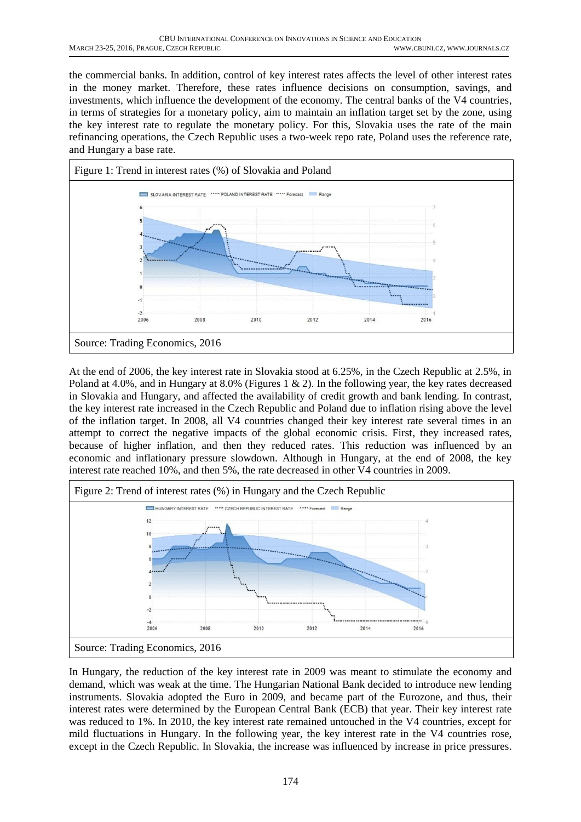the commercial banks. In addition, control of key interest rates affects the level of other interest rates in the money market. Therefore, these rates influence decisions on consumption, savings, and investments, which influence the development of the economy. The central banks of the V4 countries, in terms of strategies for a monetary policy, aim to maintain an inflation target set by the zone, using the key interest rate to regulate the monetary policy. For this, Slovakia uses the rate of the main refinancing operations, the Czech Republic uses a two-week repo rate, Poland uses the reference rate, and Hungary a base rate.



At the end of 2006, the key interest rate in Slovakia stood at 6.25%, in the Czech Republic at 2.5%, in Poland at 4.0%, and in Hungary at 8.0% (Figures 1 & 2). In the following year, the key rates decreased in Slovakia and Hungary, and affected the availability of credit growth and bank lending. In contrast, the key interest rate increased in the Czech Republic and Poland due to inflation rising above the level of the inflation target. In 2008, all V4 countries changed their key interest rate several times in an attempt to correct the negative impacts of the global economic crisis. First, they increased rates, because of higher inflation, and then they reduced rates. This reduction was influenced by an economic and inflationary pressure slowdown. Although in Hungary, at the end of 2008, the key interest rate reached 10%, and then 5%, the rate decreased in other V4 countries in 2009.



In Hungary, the reduction of the key interest rate in 2009 was meant to stimulate the economy and demand, which was weak at the time. The Hungarian National Bank decided to introduce new lending instruments. Slovakia adopted the Euro in 2009, and became part of the Eurozone, and thus, their interest rates were determined by the European Central Bank (ECB) that year. Their key interest rate was reduced to 1%. In 2010, the key interest rate remained untouched in the V4 countries, except for mild fluctuations in Hungary. In the following year, the key interest rate in the V4 countries rose, except in the Czech Republic. In Slovakia, the increase was influenced by increase in price pressures.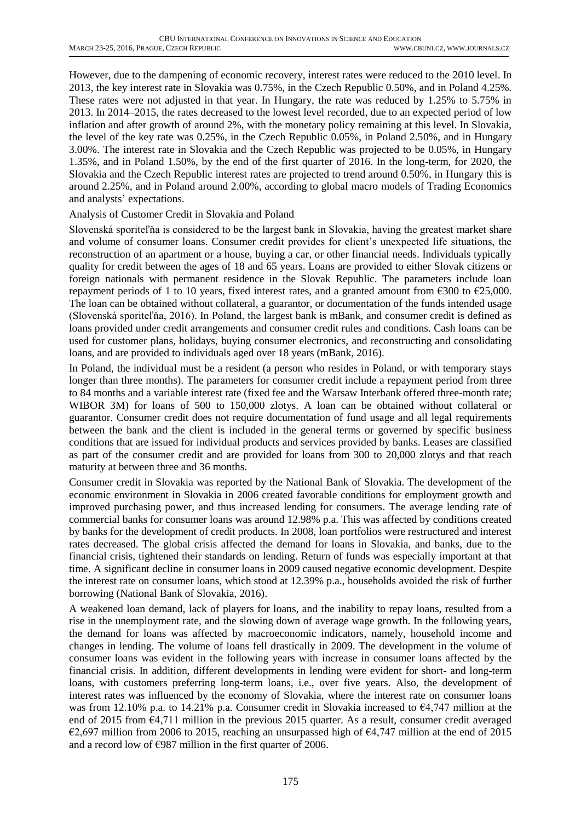However, due to the dampening of economic recovery, interest rates were reduced to the 2010 level. In 2013, the key interest rate in Slovakia was 0.75%, in the Czech Republic 0.50%, and in Poland 4.25%. These rates were not adjusted in that year. In Hungary, the rate was reduced by 1.25% to 5.75% in 2013. In 2014–2015, the rates decreased to the lowest level recorded, due to an expected period of low inflation and after growth of around 2%, with the monetary policy remaining at this level. In Slovakia, the level of the key rate was 0.25%, in the Czech Republic 0.05%, in Poland 2.50%, and in Hungary 3.00%. The interest rate in Slovakia and the Czech Republic was projected to be 0.05%, in Hungary 1.35%, and in Poland 1.50%, by the end of the first quarter of 2016. In the long-term, for 2020, the Slovakia and the Czech Republic interest rates are projected to trend around 0.50%, in Hungary this is around 2.25%, and in Poland around 2.00%, according to global macro models of Trading Economics and analysts' expectations.

### Analysis of Customer Credit in Slovakia and Poland

Slovenská sporiteľňa is considered to be the largest bank in Slovakia, having the greatest market share and volume of consumer loans. Consumer credit provides for client's unexpected life situations, the reconstruction of an apartment or a house, buying a car, or other financial needs. Individuals typically quality for credit between the ages of 18 and 65 years. Loans are provided to either Slovak citizens or foreign nationals with permanent residence in the Slovak Republic. The parameters include loan repayment periods of 1 to 10 years, fixed interest rates, and a granted amount from  $\epsilon$ 300 to  $\epsilon$ 25,000. The loan can be obtained without collateral, a guarantor, or documentation of the funds intended usage (Slovenská sporiteľňa, 2016). In Poland, the largest bank is mBank, and consumer credit is defined as loans provided under credit arrangements and consumer credit rules and conditions. Cash loans can be used for customer plans, holidays, buying consumer electronics, and reconstructing and consolidating loans, and are provided to individuals aged over 18 years (mBank, 2016).

In Poland, the individual must be a resident (a person who resides in Poland, or with temporary stays longer than three months). The parameters for consumer credit include a repayment period from three to 84 months and a variable interest rate (fixed fee and the Warsaw Interbank offered three-month rate; WIBOR 3M) for loans of 500 to 150,000 zlotys. A loan can be obtained without collateral or guarantor. Consumer credit does not require documentation of fund usage and all legal requirements between the bank and the client is included in the general terms or governed by specific business conditions that are issued for individual products and services provided by banks. Leases are classified as part of the consumer credit and are provided for loans from 300 to 20,000 zlotys and that reach maturity at between three and 36 months.

Consumer credit in Slovakia was reported by the National Bank of Slovakia. The development of the economic environment in Slovakia in 2006 created favorable conditions for employment growth and improved purchasing power, and thus increased lending for consumers. The average lending rate of commercial banks for consumer loans was around 12.98% p.a. This was affected by conditions created by banks for the development of credit products. In 2008, loan portfolios were restructured and interest rates decreased. The global crisis affected the demand for loans in Slovakia, and banks, due to the financial crisis, tightened their standards on lending. Return of funds was especially important at that time. A significant decline in consumer loans in 2009 caused negative economic development. Despite the interest rate on consumer loans, which stood at 12.39% p.a., households avoided the risk of further borrowing (National Bank of Slovakia, 2016).

A weakened loan demand, lack of players for loans, and the inability to repay loans, resulted from a rise in the unemployment rate, and the slowing down of average wage growth. In the following years, the demand for loans was affected by macroeconomic indicators, namely, household income and changes in lending. The volume of loans fell drastically in 2009. The development in the volume of consumer loans was evident in the following years with increase in consumer loans affected by the financial crisis. In addition, different developments in lending were evident for short- and long-term loans, with customers preferring long-term loans, i.e., over five years. Also, the development of interest rates was influenced by the economy of Slovakia, where the interest rate on consumer loans was from 12.10% p.a. to 14.21% p.a. Consumer credit in Slovakia increased to  $\epsilon$ 4,747 million at the end of 2015 from €4,711 million in the previous 2015 quarter. As a result, consumer credit averaged €2,697 million from 2006 to 2015, reaching an unsurpassed high of  $\epsilon$ 4,747 million at the end of 2015 and a record low of  $\epsilon$ 987 million in the first quarter of 2006.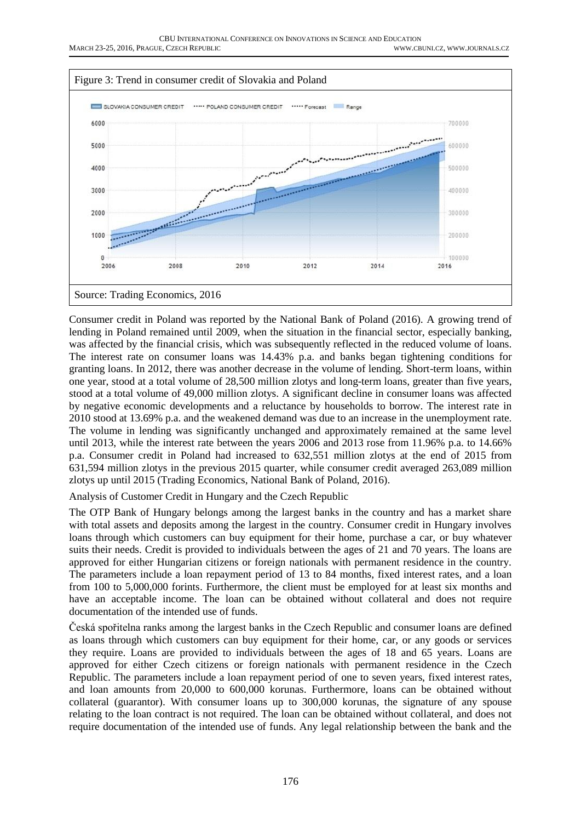

Consumer credit in Poland was reported by the National Bank of Poland (2016). A growing trend of lending in Poland remained until 2009, when the situation in the financial sector, especially banking, was affected by the financial crisis, which was subsequently reflected in the reduced volume of loans. The interest rate on consumer loans was 14.43% p.a. and banks began tightening conditions for granting loans. In 2012, there was another decrease in the volume of lending. Short-term loans, within one year, stood at a total volume of 28,500 million zlotys and long-term loans, greater than five years, stood at a total volume of 49,000 million zlotys. A significant decline in consumer loans was affected by negative economic developments and a reluctance by households to borrow. The interest rate in 2010 stood at 13.69% p.a. and the weakened demand was due to an increase in the unemployment rate. The volume in lending was significantly unchanged and approximately remained at the same level until 2013, while the interest rate between the years 2006 and 2013 rose from 11.96% p.a. to 14.66% p.a. Consumer credit in Poland had increased to 632,551 million zlotys at the end of 2015 from 631,594 million zlotys in the previous 2015 quarter, while consumer credit averaged 263,089 million zlotys up until 2015 (Trading Economics, National Bank of Poland, 2016).

Analysis of Customer Credit in Hungary and the Czech Republic

The OTP Bank of Hungary belongs among the largest banks in the country and has a market share with total assets and deposits among the largest in the country. Consumer credit in Hungary involves loans through which customers can buy equipment for their home, purchase a car, or buy whatever suits their needs. Credit is provided to individuals between the ages of 21 and 70 years. The loans are approved for either Hungarian citizens or foreign nationals with permanent residence in the country. The parameters include a loan repayment period of 13 to 84 months, fixed interest rates, and a loan from 100 to 5,000,000 forints. Furthermore, the client must be employed for at least six months and have an acceptable income. The loan can be obtained without collateral and does not require documentation of the intended use of funds.

Česká spořitelna ranks among the largest banks in the Czech Republic and consumer loans are defined as loans through which customers can buy equipment for their home, car, or any goods or services they require. Loans are provided to individuals between the ages of 18 and 65 years. Loans are approved for either Czech citizens or foreign nationals with permanent residence in the Czech Republic. The parameters include a loan repayment period of one to seven years, fixed interest rates, and loan amounts from 20,000 to 600,000 korunas. Furthermore, loans can be obtained without collateral (guarantor). With consumer loans up to 300,000 korunas, the signature of any spouse relating to the loan contract is not required. The loan can be obtained without collateral, and does not require documentation of the intended use of funds. Any legal relationship between the bank and the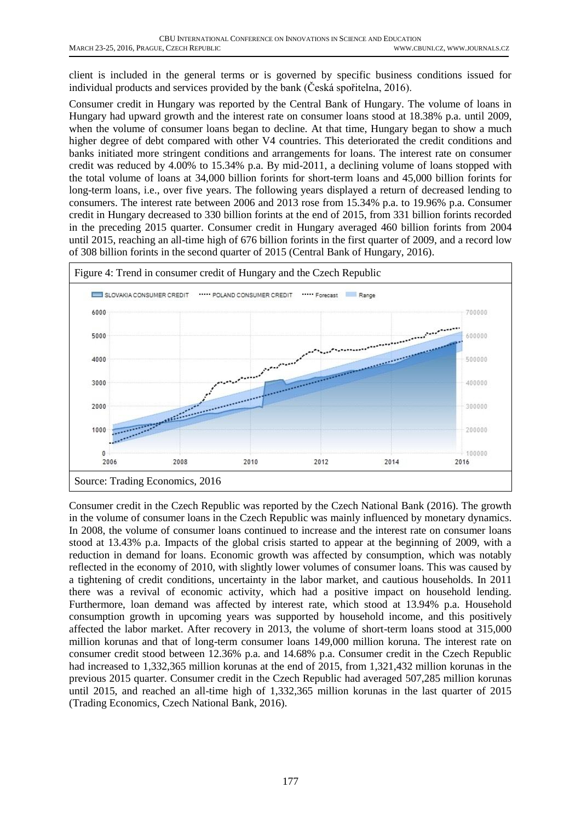client is included in the general terms or is governed by specific business conditions issued for individual products and services provided by the bank (Česká spořitelna, 2016).

Consumer credit in Hungary was reported by the Central Bank of Hungary. The volume of loans in Hungary had upward growth and the interest rate on consumer loans stood at 18.38% p.a. until 2009, when the volume of consumer loans began to decline. At that time, Hungary began to show a much higher degree of debt compared with other V4 countries. This deteriorated the credit conditions and banks initiated more stringent conditions and arrangements for loans. The interest rate on consumer credit was reduced by 4.00% to 15.34% p.a. By mid-2011, a declining volume of loans stopped with the total volume of loans at 34,000 billion forints for short-term loans and 45,000 billion forints for long-term loans, i.e., over five years. The following years displayed a return of decreased lending to consumers. The interest rate between 2006 and 2013 rose from 15.34% p.a. to 19.96% p.a. Consumer credit in Hungary decreased to 330 billion forints at the end of 2015, from 331 billion forints recorded in the preceding 2015 quarter. Consumer credit in Hungary averaged 460 billion forints from 2004 until 2015, reaching an all-time high of 676 billion forints in the first quarter of 2009, and a record low of 308 billion forints in the second quarter of 2015 (Central Bank of Hungary, 2016).



Consumer credit in the Czech Republic was reported by the Czech National Bank (2016). The growth in the volume of consumer loans in the Czech Republic was mainly influenced by monetary dynamics. In 2008, the volume of consumer loans continued to increase and the interest rate on consumer loans stood at 13.43% p.a. Impacts of the global crisis started to appear at the beginning of 2009, with a reduction in demand for loans. Economic growth was affected by consumption, which was notably reflected in the economy of 2010, with slightly lower volumes of consumer loans. This was caused by a tightening of credit conditions, uncertainty in the labor market, and cautious households. In 2011 there was a revival of economic activity, which had a positive impact on household lending. Furthermore, loan demand was affected by interest rate, which stood at 13.94% p.a. Household consumption growth in upcoming years was supported by household income, and this positively affected the labor market. After recovery in 2013, the volume of short-term loans stood at 315,000 million korunas and that of long-term consumer loans 149,000 million koruna. The interest rate on consumer credit stood between 12.36% p.a. and 14.68% p.a. Consumer credit in the Czech Republic had increased to 1,332,365 million korunas at the end of 2015, from 1,321,432 million korunas in the previous 2015 quarter. Consumer credit in the Czech Republic had averaged 507,285 million korunas until 2015, and reached an all-time high of 1,332,365 million korunas in the last quarter of 2015 (Trading Economics, Czech National Bank, 2016).